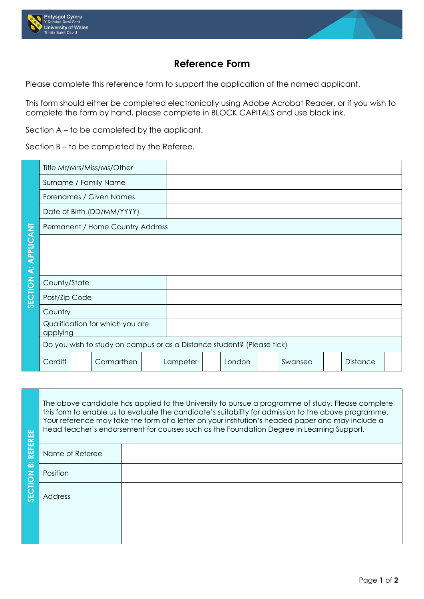



## **Reference Form**

Please complete this reference form to support the application of the named applicant.

This form should either be completed electronically using Adobe Acrobat Reader, or if you wish to complete the form by hand, please complete in BLOCK CAPITALS and use black ink.

Section A – to be completed by the applicant.

Section B – to be completed by the Referee.

|                  |                                                                        |  | Title Mr/Mrs/Miss/Ms/Other |  |          |  |        |  |         |                 |  |
|------------------|------------------------------------------------------------------------|--|----------------------------|--|----------|--|--------|--|---------|-----------------|--|
|                  | Surname / Family Name                                                  |  |                            |  |          |  |        |  |         |                 |  |
|                  | Forenames / Given Names                                                |  |                            |  |          |  |        |  |         |                 |  |
|                  | Date of Birth (DD/MM/YYYY)                                             |  |                            |  |          |  |        |  |         |                 |  |
|                  | Permanent / Home Country Address                                       |  |                            |  |          |  |        |  |         |                 |  |
| <b>APPLICANT</b> |                                                                        |  |                            |  |          |  |        |  |         |                 |  |
|                  |                                                                        |  |                            |  |          |  |        |  |         |                 |  |
| نخ               |                                                                        |  |                            |  |          |  |        |  |         |                 |  |
|                  | County/State                                                           |  |                            |  |          |  |        |  |         |                 |  |
| SECTION          | Post/Zip Code                                                          |  |                            |  |          |  |        |  |         |                 |  |
|                  | Country                                                                |  |                            |  |          |  |        |  |         |                 |  |
|                  | Qualification for which you are<br>applying                            |  |                            |  |          |  |        |  |         |                 |  |
|                  | Do you wish to study on campus or as a Distance student? (Please tick) |  |                            |  |          |  |        |  |         |                 |  |
|                  | Cardiff                                                                |  | Carmarthen                 |  | Lampeter |  | London |  | Swansea | <b>Distance</b> |  |

REE

The above candidate has applied to the University to pursue a programme of study. Please complete this form to enable us to evaluate the candidate's suitability for admission to the above programme. Your reference may take the form of a letter on your institution's headed paper and may include a Head teacher's endorsement for courses such as the Foundation Degree in Learning Support.

|                            | The commitment of courses secritas into redition to green recenting support. |  |  |  |  |  |  |
|----------------------------|------------------------------------------------------------------------------|--|--|--|--|--|--|
| <b>REFEREE</b>             | Name of Referee                                                              |  |  |  |  |  |  |
| $\dot{\underline{\omega}}$ | Position                                                                     |  |  |  |  |  |  |
| SECTION                    | Address                                                                      |  |  |  |  |  |  |
|                            |                                                                              |  |  |  |  |  |  |